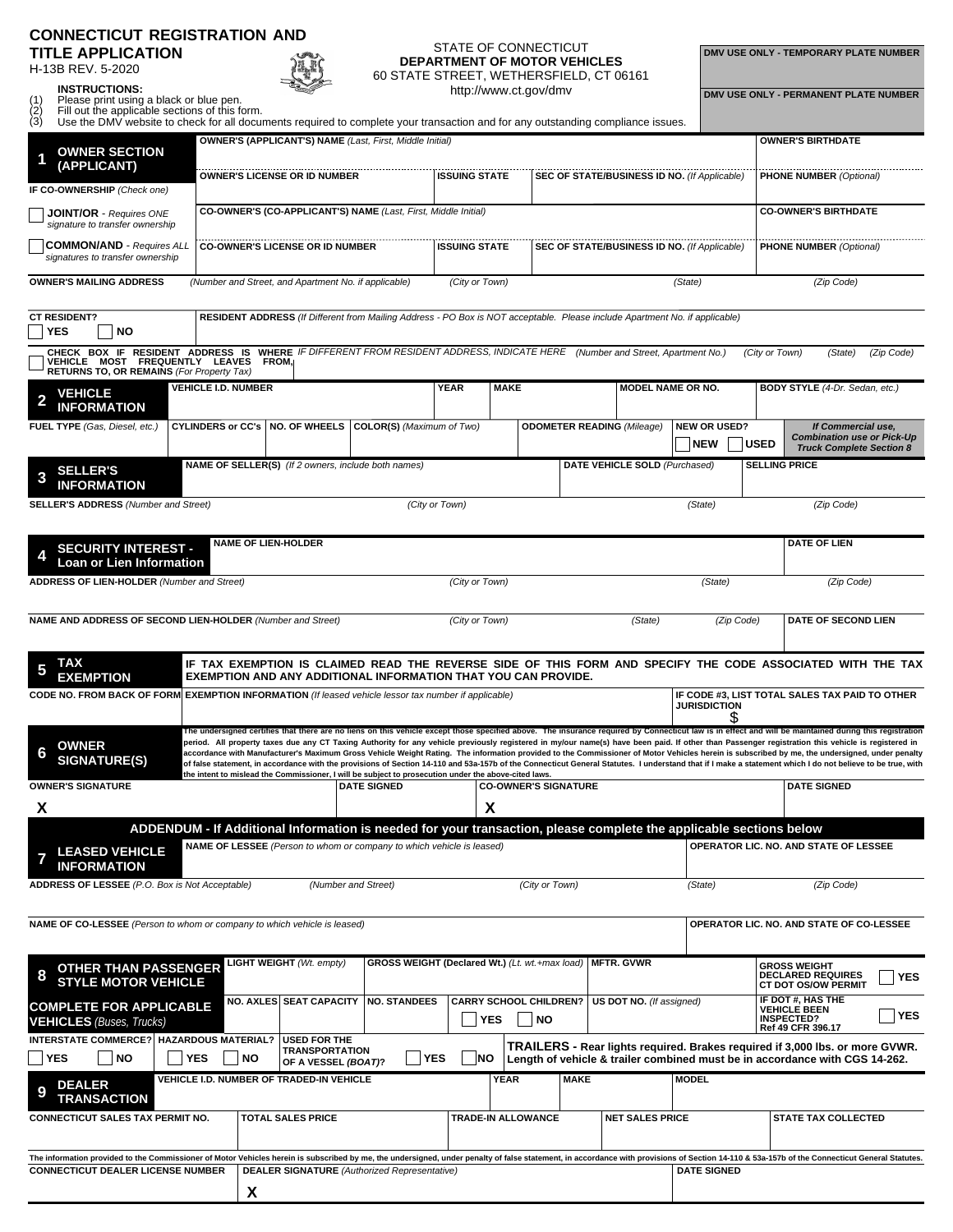## **CONNECTICUT REGISTRATION AND TITLE APPLICATION**

H-13B REV. 5-2020



## STATE OF CONNECTICUT **DEPARTMENT OF MOTOR VEHICLES** 60 STATE STREET, WETHERSFIELD, CT 06161

**DMV USE ONLY - TEMPORARY PLATE NUMBER**

| (1)    | Please print using a black or blue pen.                |
|--------|--------------------------------------------------------|
| $\sim$ | FOU contributions with a big a continuous of the books |

| (1)<br>(2) | <b>INSTRUCTIONS:</b><br>Please print using a black or blue pen.<br>Fill out the applicable sections of this form.                                                                                          |            |                            |           |                                                                     |                                                                                                                                                                                             |                      |                | http://www.ct.gov/dmv                      |             |                                                     |                            |            |                | DMV USE ONLY - PERMANENT PLATE NUMBER                                                                                                                                                                                                                                                                                                                                                                                                                                                                                                                                                                                                                                                                                                                                                                                     |            |
|------------|------------------------------------------------------------------------------------------------------------------------------------------------------------------------------------------------------------|------------|----------------------------|-----------|---------------------------------------------------------------------|---------------------------------------------------------------------------------------------------------------------------------------------------------------------------------------------|----------------------|----------------|--------------------------------------------|-------------|-----------------------------------------------------|----------------------------|------------|----------------|---------------------------------------------------------------------------------------------------------------------------------------------------------------------------------------------------------------------------------------------------------------------------------------------------------------------------------------------------------------------------------------------------------------------------------------------------------------------------------------------------------------------------------------------------------------------------------------------------------------------------------------------------------------------------------------------------------------------------------------------------------------------------------------------------------------------------|------------|
| ÌЗ)        | Use the DMV website to check for all documents required to complete your transaction and for any outstanding compliance issues.                                                                            |            |                            |           |                                                                     |                                                                                                                                                                                             |                      |                |                                            |             |                                                     |                            |            |                |                                                                                                                                                                                                                                                                                                                                                                                                                                                                                                                                                                                                                                                                                                                                                                                                                           |            |
|            | <b>OWNER SECTION</b>                                                                                                                                                                                       |            |                            |           |                                                                     | <b>OWNER'S (APPLICANT'S) NAME</b> (Last, First, Middle Initial)                                                                                                                             |                      |                |                                            |             |                                                     |                            |            |                | <b>OWNER'S BIRTHDATE</b>                                                                                                                                                                                                                                                                                                                                                                                                                                                                                                                                                                                                                                                                                                                                                                                                  |            |
|            | (APPLICANT)<br>IF CO-OWNERSHIP (Check one)                                                                                                                                                                 |            |                            |           | <b>OWNER'S LICENSE OR ID NUMBER</b>                                 |                                                                                                                                                                                             | <b>ISSUING STATE</b> |                |                                            |             | <b>SEC OF STATE/BUSINESS ID NO. (If Applicable)</b> |                            |            |                | <b>PHONE NUMBER (Optional)</b>                                                                                                                                                                                                                                                                                                                                                                                                                                                                                                                                                                                                                                                                                                                                                                                            |            |
|            | <b>JOINT/OR</b> - Requires ONE<br>signature to transfer ownership                                                                                                                                          |            |                            |           |                                                                     | CO-OWNER'S (CO-APPLICANT'S) NAME (Last, First, Middle Initial)                                                                                                                              |                      |                |                                            |             |                                                     |                            |            |                | <b>CO-OWNER'S BIRTHDATE</b>                                                                                                                                                                                                                                                                                                                                                                                                                                                                                                                                                                                                                                                                                                                                                                                               |            |
|            | <b>COMMON/AND</b> - Requires ALL<br>signatures to transfer ownership                                                                                                                                       |            |                            |           | <b>CO-OWNER'S LICENSE OR ID NUMBER</b>                              |                                                                                                                                                                                             | <b>ISSUING STATE</b> |                |                                            |             | <b>SEC OF STATE/BUSINESS ID NO. (If Applicable)</b> |                            |            |                | <b>PHONE NUMBER (Optional)</b>                                                                                                                                                                                                                                                                                                                                                                                                                                                                                                                                                                                                                                                                                                                                                                                            |            |
|            | <b>OWNER'S MAILING ADDRESS</b>                                                                                                                                                                             |            |                            |           | (Number and Street, and Apartment No. if applicable)                |                                                                                                                                                                                             |                      | (City or Town) |                                            |             |                                                     | (State)                    |            |                | (Zip Code)                                                                                                                                                                                                                                                                                                                                                                                                                                                                                                                                                                                                                                                                                                                                                                                                                |            |
|            | <b>CT RESIDENT?</b><br>YES<br><b>NO</b>                                                                                                                                                                    |            |                            |           |                                                                     | RESIDENT ADDRESS (If Different from Mailing Address - PO Box is NOT acceptable. Please include Apartment No. if applicable)                                                                 |                      |                |                                            |             |                                                     |                            |            |                |                                                                                                                                                                                                                                                                                                                                                                                                                                                                                                                                                                                                                                                                                                                                                                                                                           |            |
|            | CHECK BOX IF RESIDENT ADDRESS IS WHERE IF DIFFERENT FROM RESIDENT ADDRESS, INDICATE HERE (Number and Street, Apartment No.)<br>VEHICLE MOST FREQUENTLY LEAVES<br>RETURNS TO, OR REMAINS (For Property Tax) |            |                            | FROM,     |                                                                     |                                                                                                                                                                                             |                      |                |                                            |             |                                                     |                            |            | (City or Town) | (State)                                                                                                                                                                                                                                                                                                                                                                                                                                                                                                                                                                                                                                                                                                                                                                                                                   | (Zip Code) |
|            | <b>VEHICLE</b><br><b>INFORMATION</b>                                                                                                                                                                       |            | <b>VEHICLE I.D. NUMBER</b> |           |                                                                     |                                                                                                                                                                                             | <b>YEAR</b>          |                | <b>MAKE</b>                                |             | MODEL NAME OR NO.                                   |                            |            |                | BODY STYLE (4-Dr. Sedan, etc.)                                                                                                                                                                                                                                                                                                                                                                                                                                                                                                                                                                                                                                                                                                                                                                                            |            |
|            | FUEL TYPE (Gas, Diesel, etc.)                                                                                                                                                                              |            |                            |           | CYLINDERS or CC's   NO. OF WHEELS                                   | COLOR(S) (Maximum of Two)                                                                                                                                                                   |                      |                |                                            |             | <b>ODOMETER READING (Mileage)</b>                   | <b>NEW OR USED?</b><br>NEW |            | <b>USED</b>    | If Commercial use,<br><b>Combination use or Pick-Up</b>                                                                                                                                                                                                                                                                                                                                                                                                                                                                                                                                                                                                                                                                                                                                                                   |            |
| 3          | <b>SELLER'S</b>                                                                                                                                                                                            |            |                            |           | NAME OF SELLER(S) (If 2 owners, include both names)                 |                                                                                                                                                                                             |                      |                |                                            |             | DATE VEHICLE SOLD (Purchased)                       |                            |            |                | <b>Truck Complete Section 8</b><br><b>SELLING PRICE</b>                                                                                                                                                                                                                                                                                                                                                                                                                                                                                                                                                                                                                                                                                                                                                                   |            |
|            | <b>INFORMATION</b><br><b>SELLER'S ADDRESS</b> (Number and Street)                                                                                                                                          |            |                            |           |                                                                     |                                                                                                                                                                                             | (City or Town)       |                |                                            |             |                                                     | (State)                    |            |                | (Zip Code)                                                                                                                                                                                                                                                                                                                                                                                                                                                                                                                                                                                                                                                                                                                                                                                                                |            |
|            |                                                                                                                                                                                                            |            |                            |           | <b>NAME OF LIEN-HOLDER</b>                                          |                                                                                                                                                                                             |                      |                |                                            |             |                                                     |                            |            |                | <b>DATE OF LIEN</b>                                                                                                                                                                                                                                                                                                                                                                                                                                                                                                                                                                                                                                                                                                                                                                                                       |            |
|            | <b>SECURITY INTEREST -</b><br><b>Loan or Lien Information</b>                                                                                                                                              |            |                            |           |                                                                     |                                                                                                                                                                                             |                      |                |                                            |             |                                                     |                            |            |                |                                                                                                                                                                                                                                                                                                                                                                                                                                                                                                                                                                                                                                                                                                                                                                                                                           |            |
|            | <b>ADDRESS OF LIEN-HOLDER (Number and Street)</b>                                                                                                                                                          |            |                            |           |                                                                     |                                                                                                                                                                                             |                      | (City or Town) |                                            |             |                                                     | (State)                    |            |                | (Zip Code)                                                                                                                                                                                                                                                                                                                                                                                                                                                                                                                                                                                                                                                                                                                                                                                                                |            |
|            | NAME AND ADDRESS OF SECOND LIEN-HOLDER (Number and Street)                                                                                                                                                 |            |                            |           |                                                                     |                                                                                                                                                                                             |                      | (City or Town) |                                            |             | (State)                                             |                            | (Zip Code) |                | DATE OF SECOND LIEN                                                                                                                                                                                                                                                                                                                                                                                                                                                                                                                                                                                                                                                                                                                                                                                                       |            |
|            | <b>EXEMPTION</b>                                                                                                                                                                                           |            |                            |           |                                                                     | <b>EXEMPTION AND ANY ADDITIONAL INFORMATION THAT YOU CAN PROVIDE.</b>                                                                                                                       |                      |                |                                            |             |                                                     |                            |            |                | IF TAX EXEMPTION IS CLAIMED READ THE REVERSE SIDE OF THIS FORM AND SPECIFY THE CODE ASSOCIATED WITH THE TAX                                                                                                                                                                                                                                                                                                                                                                                                                                                                                                                                                                                                                                                                                                               |            |
|            | CODE NO. FROM BACK OF FORM EXEMPTION INFORMATION (If leased vehicle lessor tax number if applicable)                                                                                                       |            |                            |           |                                                                     |                                                                                                                                                                                             |                      |                |                                            |             |                                                     | <b>JURISDICTION</b>        |            |                | IF CODE #3. LIST TOTAL SALES TAX PAID TO OTHER                                                                                                                                                                                                                                                                                                                                                                                                                                                                                                                                                                                                                                                                                                                                                                            |            |
|            | <b>OWNER</b><br><b>SIGNATURE(S)</b>                                                                                                                                                                        |            |                            |           |                                                                     |                                                                                                                                                                                             |                      |                |                                            |             |                                                     |                            |            |                | The undersigned certifies that there are no liens on this vehicle except those specified above. The insurance required by Connecticut law is in effect and will be maintained during this registration<br>period. All property taxes due any CT Taxing Authority for any vehicle previously registered in my/our name(s) have been paid. If other than Passenger registration this vehicle is registered in<br>accordance with Manufacturer's Maximum Gross Vehicle Weight Rating. The information provided to the Commissioner of Motor Vehicles herein is subscribed by me, the undersigned, under penalty<br>of false statement, in accordance with the provisions of Section 14-110 and 53a-157b of the Connecticut General Statutes. I understand that if I make a statement which I do not believe to be true, with |            |
| X          | OWNER'S SIGNATURE                                                                                                                                                                                          |            |                            |           |                                                                     | the intent to mislead the Commissioner, I will be subject to prosecution under the above-cited laws.<br><b>DATE SIGNED</b>                                                                  |                      | X              | <b>CO-OWNER'S SIGNATURE</b>                |             |                                                     |                            |            |                | <b>DATE SIGNED</b>                                                                                                                                                                                                                                                                                                                                                                                                                                                                                                                                                                                                                                                                                                                                                                                                        |            |
|            |                                                                                                                                                                                                            |            |                            |           |                                                                     |                                                                                                                                                                                             |                      |                |                                            |             |                                                     |                            |            |                |                                                                                                                                                                                                                                                                                                                                                                                                                                                                                                                                                                                                                                                                                                                                                                                                                           |            |
|            | <b>LEASED VEHICLE</b><br><b>INFORMATION</b>                                                                                                                                                                |            |                            |           |                                                                     | ADDENDUM - If Additional Information is needed for your transaction, please complete the applicable sections below<br>NAME OF LESSEE (Person to whom or company to which vehicle is leased) |                      |                |                                            |             |                                                     |                            |            |                | OPERATOR LIC. NO. AND STATE OF LESSEE                                                                                                                                                                                                                                                                                                                                                                                                                                                                                                                                                                                                                                                                                                                                                                                     |            |
|            | <b>ADDRESS OF LESSEE</b> (P.O. Box is Not Acceptable)                                                                                                                                                      |            |                            |           |                                                                     | (Number and Street)                                                                                                                                                                         |                      |                | (City or Town)                             |             |                                                     | (State)                    |            |                | (Zip Code)                                                                                                                                                                                                                                                                                                                                                                                                                                                                                                                                                                                                                                                                                                                                                                                                                |            |
|            | NAME OF CO-LESSEE (Person to whom or company to which vehicle is leased)                                                                                                                                   |            |                            |           |                                                                     |                                                                                                                                                                                             |                      |                |                                            |             |                                                     |                            |            |                | OPERATOR LIC. NO. AND STATE OF CO-LESSEE                                                                                                                                                                                                                                                                                                                                                                                                                                                                                                                                                                                                                                                                                                                                                                                  |            |
|            |                                                                                                                                                                                                            |            |                            |           | <b>LIGHT WEIGHT (Wt. empty)</b>                                     | GROSS WEIGHT (Declared Wt.) (Lt. wt.+max load)                                                                                                                                              |                      |                |                                            |             | <b>MFTR. GVWR</b>                                   |                            |            |                |                                                                                                                                                                                                                                                                                                                                                                                                                                                                                                                                                                                                                                                                                                                                                                                                                           |            |
|            | <b>OTHER THAN PASSENGER</b><br><b>STYLE MOTOR VEHICLE</b>                                                                                                                                                  |            |                            |           |                                                                     |                                                                                                                                                                                             |                      |                |                                            |             |                                                     |                            |            |                | <b>GROSS WEIGHT</b><br><b>DECLARED REQUIRES</b><br><b>CT DOT OS/OW PERMIT</b>                                                                                                                                                                                                                                                                                                                                                                                                                                                                                                                                                                                                                                                                                                                                             | <b>YES</b> |
|            | <b>COMPLETE FOR APPLICABLE</b><br><b>VEHICLES</b> (Buses, Trucks)                                                                                                                                          |            |                            |           | NO. AXLES SEAT CAPACITY                                             | <b>NO. STANDEES</b>                                                                                                                                                                         |                      | <b>YES</b>     | <b>CARRY SCHOOL CHILDREN?</b><br><b>NO</b> |             | US DOT NO. (If assigned)                            |                            |            |                | IF DOT #, HAS THE<br><b>VEHICLE BEEN</b><br><b>INSPECTED?</b><br>Ref 49 CFR 396.17                                                                                                                                                                                                                                                                                                                                                                                                                                                                                                                                                                                                                                                                                                                                        | <b>YES</b> |
|            | INTERSTATE COMMERCE?   HAZARDOUS MATERIAL?<br><b>YES</b><br><b>NO</b>                                                                                                                                      | <b>YES</b> |                            | <b>NO</b> | <b>USED FOR THE</b><br><b>TRANSPORTATION</b><br>OF A VESSEL (BOAT)? |                                                                                                                                                                                             | <b>YES</b>           | <b>NO</b>      |                                            |             |                                                     |                            |            |                | TRAILERS - Rear lights required. Brakes required if 3,000 lbs. or more GVWR.<br>Length of vehicle & trailer combined must be in accordance with CGS 14-262.                                                                                                                                                                                                                                                                                                                                                                                                                                                                                                                                                                                                                                                               |            |
| 9          | <b>DEALER</b>                                                                                                                                                                                              |            |                            |           | VEHICLE I.D. NUMBER OF TRADED-IN VEHICLE                            |                                                                                                                                                                                             |                      |                | <b>YEAR</b>                                | <b>MAKE</b> |                                                     | <b>MODEL</b>               |            |                |                                                                                                                                                                                                                                                                                                                                                                                                                                                                                                                                                                                                                                                                                                                                                                                                                           |            |
|            | <b>TRANSACTION</b><br><b>CONNECTICUT SALES TAX PERMIT NO.</b>                                                                                                                                              |            |                            |           | <b>TOTAL SALES PRICE</b>                                            |                                                                                                                                                                                             |                      |                | TRADE-IN ALLOWANCE                         |             | <b>NET SALES PRICE</b>                              |                            |            |                | <b>STATE TAX COLLECTED</b>                                                                                                                                                                                                                                                                                                                                                                                                                                                                                                                                                                                                                                                                                                                                                                                                |            |
|            |                                                                                                                                                                                                            |            |                            |           |                                                                     |                                                                                                                                                                                             |                      |                |                                            |             |                                                     |                            |            |                |                                                                                                                                                                                                                                                                                                                                                                                                                                                                                                                                                                                                                                                                                                                                                                                                                           |            |

| The information provided to the Commissioner of Motor Vehicles herein is subscribed by me, the undersigned, under penalty of false statement, in accordance with provisions of Section 14-110 & 53a-157b of the Connecticut Ge |                                              |  |                    |  |  |  |  |  |  |  |  |
|--------------------------------------------------------------------------------------------------------------------------------------------------------------------------------------------------------------------------------|----------------------------------------------|--|--------------------|--|--|--|--|--|--|--|--|
| <b>CONNECTICUT DEALER LICENSE NUMBER</b>                                                                                                                                                                                       | DEALER SIGNATURE (Authorized Representative) |  | <b>DATE SIGNED</b> |  |  |  |  |  |  |  |  |
|                                                                                                                                                                                                                                |                                              |  |                    |  |  |  |  |  |  |  |  |